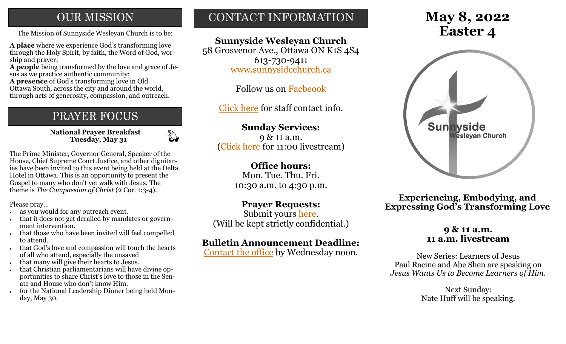## **OUR MISSION**

The Mission of Sunnyside Wesleyan Church is to be: **Easter 4** 

**A place** where we experience God's transforming love through the Holy Spirit, by faith, the Word of God, worship and prayer;

**A people** being transformed by the love and grace of Jesus as we practice authentic community;

**A presence** of God's transforming love in Old Ottawa South, across the city and around the world, through acts of generosity, compassion, and outreach.

## PRAYER FOCUS

**National Prayer Breakfast Tuesday, May 31**

 $\mathbb{Z}$ 

The Prime Minister, Governor General, Speaker of the House, Chief Supreme Court Justice, and other dignitaries have been invited to this event being held at the Delta Hotel in Ottawa. This is an opportunity to present the Gospel to many who don't yet walk with Jesus. The theme is *The Compassion of Christ* (2 Cor. 1:3-4).

Please pray...

- as you would for any outreach event.
- that it does not get derailed by mandates or government intervention.
- that those who have been invited will feel compelled to attend.
- that God's love and compassion will touch the hearts of all who attend, especially the unsaved
- that many will give their hearts to Jesus.
- that Christian parliamentarians will have divine opportunities to share Christ's love to those in the Senate and House who don't know Him.
- for the National Leadership Dinner being held Monday, May 30.

## CONTACT INFORMATION

## **Sunnyside Wesleyan Church**

58 Grosvenor Ave., Ottawa ON K1S 4S4 613-730-9411 [www.sunnysidechurch.ca](http://www.sunnysidechurch.ca)

Follow us on [Facbeook](http://www.facebook.com/sunnysidewesleyanchurch)

[Click here](http://www.sunnysidechurch.ca/about-sunnyside/staff/) for staff contact info.

## **Sunday Services:**

9 & 11 a.m. [\(Click here](https://youtube.com/channel/UCYfl9Qy37Az7fqqFQpDEwjg) for 11:00 livestream)

### **Office hours:**

Mon. Tue. Thu. Fri. 10:30 a.m. to 4:30 p.m.

## **Prayer Requests:**

Submit yours [here.](mailto:prayer@sunnysidechurch.ca) (Will be kept strictly confidential.)

## **Bulletin Announcement Deadline:**

[Contact the office](mailto:office@sunnysidechurch.ca) by Wednesday noon.

# **May 8, 2022**



**Experiencing, Embodying, and Expressing God's Transforming Love**

#### **9 & 11 a.m. 11 a.m. livestream**

New Series: Learners of Jesus Paul Racine and Abe Shen are speaking on *Jesus Wants Us to Become Learners of Him.*

> Next Sunday: Nate Huff will be speaking.